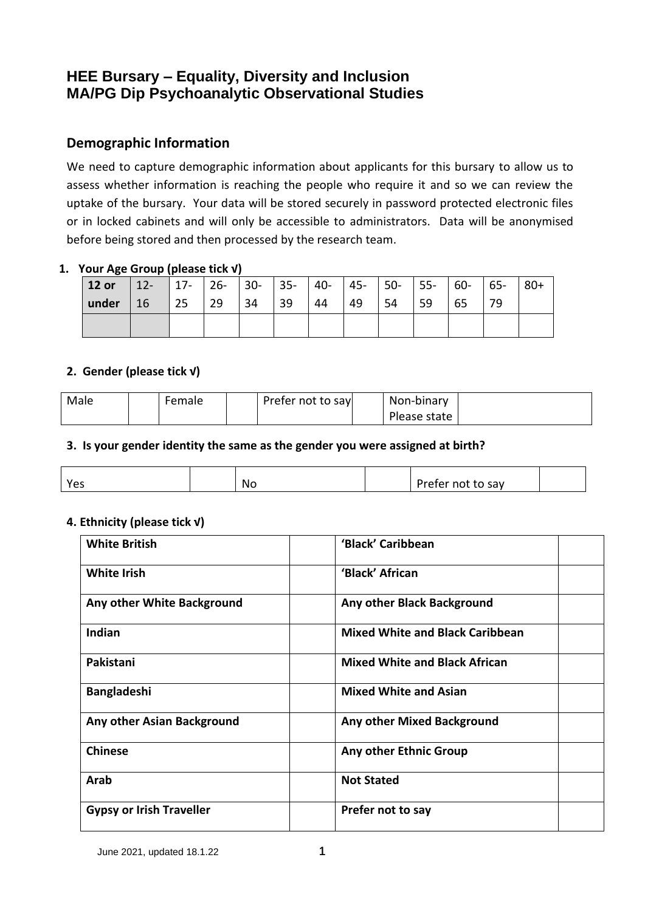# **HEE Bursary – Equality, Diversity and Inclusion MA/PG Dip Psychoanalytic Observational Studies**

# **Demographic Information**

We need to capture demographic information about applicants for this bursary to allow us to assess whether information is reaching the people who require it and so we can review the uptake of the bursary. Your data will be stored securely in password protected electronic files or in locked cabinets and will only be accessible to administrators. Data will be anonymised before being stored and then processed by the research team.

## **1. Your Age Group (please tick √)**

| 12 or       | 12-   17-   26-   30-   35-   40-   45-   50-   55-   60-   65-   80+ |             |       |    |    |    |            |      |    |    |  |
|-------------|-----------------------------------------------------------------------|-------------|-------|----|----|----|------------|------|----|----|--|
| under $ 16$ |                                                                       | $\sqrt{25}$ | 29 34 | 39 | 44 | 49 | $\vert$ 54 | l 59 | 65 | 79 |  |
|             |                                                                       |             |       |    |    |    |            |      |    |    |  |

### **2. Gender (please tick √)**

| Male | Female | Prefer not to say | Non-binary   |  |
|------|--------|-------------------|--------------|--|
|      |        |                   | Please state |  |

#### **3. Is your gender identity the same as the gender you were assigned at birth?**

| v<br>٠,<br>د ب | No | Prefer not to say |  |
|----------------|----|-------------------|--|

#### **4. Ethnicity (please tick √)**

| <b>White British</b>            | 'Black' Caribbean                      |  |
|---------------------------------|----------------------------------------|--|
| <b>White Irish</b>              | 'Black' African                        |  |
| Any other White Background      | Any other Black Background             |  |
| Indian                          | <b>Mixed White and Black Caribbean</b> |  |
| Pakistani                       | <b>Mixed White and Black African</b>   |  |
| <b>Bangladeshi</b>              | <b>Mixed White and Asian</b>           |  |
| Any other Asian Background      | <b>Any other Mixed Background</b>      |  |
| <b>Chinese</b>                  | Any other Ethnic Group                 |  |
| Arab                            | <b>Not Stated</b>                      |  |
| <b>Gypsy or Irish Traveller</b> | Prefer not to say                      |  |

June 2021, updated 18.1.22 1